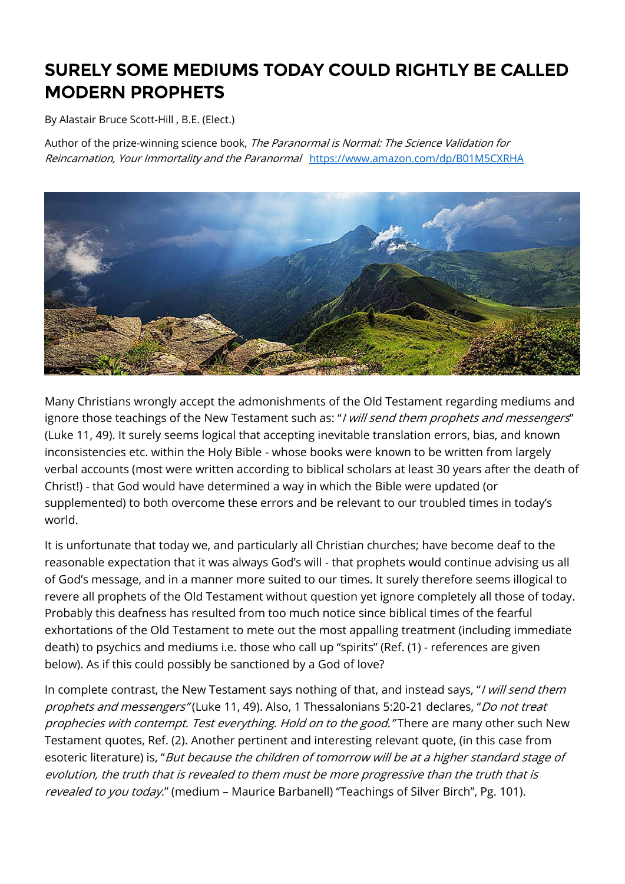## SURELY SOME MEDIUMS TODAY COULD RIGHTLY BE CALLED MODERN PROPHETS

By Alastair Bruce Scott-Hill , B.E. (Elect.)

Author of the prize-winning science book, The Paranormal is Normal: The Science Validation for Reincarnation, Your Immortality and the Paranormal <https://www.amazon.com/dp/B01M5CXRHA>



Many Christians wrongly accept the admonishments of the Old Testament regarding mediums and ignore those teachings of the New Testament such as: "I will send them prophets and messengers" (Luke 11, 49). It surely seems logical that accepting inevitable translation errors, bias, and known inconsistencies etc. within the Holy Bible - whose books were known to be written from largely verbal accounts (most were written according to biblical scholars at least 30 years after the death of Christ!) - that God would have determined a way in which the Bible were updated (or supplemented) to both overcome these errors and be relevant to our troubled times in today's world.

It is unfortunate that today we, and particularly all Christian churches; have become deaf to the reasonable expectation that it was always God's will - that prophets would continue advising us all of God's message, and in a manner more suited to our times. It surely therefore seems illogical to revere all prophets of the Old Testament without question yet ignore completely all those of today. Probably this deafness has resulted from too much notice since biblical times of the fearful exhortations of the Old Testament to mete out the most appalling treatment (including immediate death) to psychics and mediums i.e. those who call up "spirits" (Ref. (1) - references are given below). As if this could possibly be sanctioned by a God of love?

In complete contrast, the New Testament says nothing of that, and instead says, "I will send them prophets and messengers" (Luke 11, 49). Also, 1 Thessalonians 5:20-21 declares, "Do not treat prophecies with contempt. Test everything. Hold on to the good." There are many other such New Testament quotes, Ref. (2). Another pertinent and interesting relevant quote, (in this case from esoteric literature) is, "But because the children of tomorrow will be at a higher standard stage of evolution, the truth that is revealed to them must be more progressive than the truth that is revealed to you today." (medium - Maurice Barbanell) "Teachings of Silver Birch", Pg. 101).